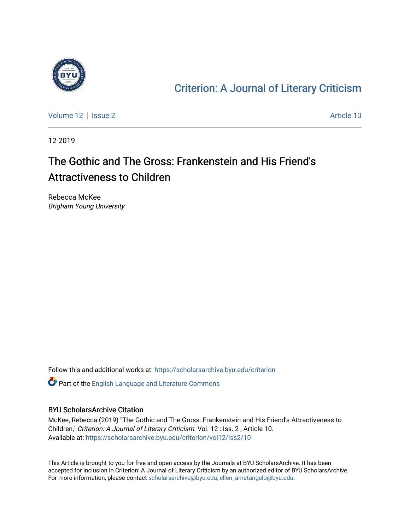

### [Criterion: A Journal of Literary Criticism](https://scholarsarchive.byu.edu/criterion)

[Volume 12](https://scholarsarchive.byu.edu/criterion/vol12) | [Issue 2](https://scholarsarchive.byu.edu/criterion/vol12/iss2) Article 10

12-2019

## The Gothic and The Gross: Frankenstein and His Friend's Attractiveness to Children

Rebecca McKee Brigham Young University

Follow this and additional works at: [https://scholarsarchive.byu.edu/criterion](https://scholarsarchive.byu.edu/criterion?utm_source=scholarsarchive.byu.edu%2Fcriterion%2Fvol12%2Fiss2%2F10&utm_medium=PDF&utm_campaign=PDFCoverPages) 

Part of the [English Language and Literature Commons](http://network.bepress.com/hgg/discipline/455?utm_source=scholarsarchive.byu.edu%2Fcriterion%2Fvol12%2Fiss2%2F10&utm_medium=PDF&utm_campaign=PDFCoverPages)

### BYU ScholarsArchive Citation

McKee, Rebecca (2019) "The Gothic and The Gross: Frankenstein and His Friend's Attractiveness to Children," Criterion: A Journal of Literary Criticism: Vol. 12 : Iss. 2 , Article 10. Available at: [https://scholarsarchive.byu.edu/criterion/vol12/iss2/10](https://scholarsarchive.byu.edu/criterion/vol12/iss2/10?utm_source=scholarsarchive.byu.edu%2Fcriterion%2Fvol12%2Fiss2%2F10&utm_medium=PDF&utm_campaign=PDFCoverPages) 

This Article is brought to you for free and open access by the Journals at BYU ScholarsArchive. It has been accepted for inclusion in Criterion: A Journal of Literary Criticism by an authorized editor of BYU ScholarsArchive. For more information, please contact [scholarsarchive@byu.edu, ellen\\_amatangelo@byu.edu](mailto:scholarsarchive@byu.edu,%20ellen_amatangelo@byu.edu).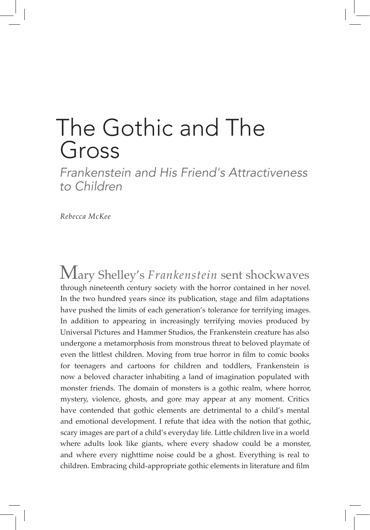# The Gothic and The Gross

*Frankenstein and His Friend's Attractiveness to Children*

*Rebecca McKee*

Mary Shelley's *Frankenstein* sent shockwaves through nineteenth century society with the horror contained in her novel. In the two hundred years since its publication, stage and film adaptations have pushed the limits of each generation's tolerance for terrifying images. In addition to appearing in increasingly terrifying movies produced by Universal Pictures and Hammer Studios, the Frankenstein creature has also undergone a metamorphosis from monstrous threat to beloved playmate of even the littlest children. Moving from true horror in film to comic books for teenagers and cartoons for children and toddlers, Frankenstein is now a beloved character inhabiting a land of imagination populated with monster friends. The domain of monsters is a gothic realm, where horror, mystery, violence, ghosts, and gore may appear at any moment. Critics have contended that gothic elements are detrimental to a child's mental and emotional development. I refute that idea with the notion that gothic, scary images are part of a child's everyday life. Little children live in a world where adults look like giants, where every shadow could be a monster, and where every nighttime noise could be a ghost. Everything is real to children. Embracing child-appropriate gothic elements in literature and film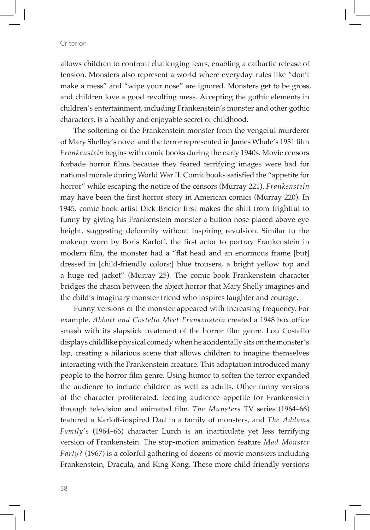allows children to confront challenging fears, enabling a cathartic release of tension. Monsters also represent a world where everyday rules like "don't make a mess" and "wipe your nose" are ignored. Monsters get to be gross, and children love a good revolting mess. Accepting the gothic elements in children's entertainment, including Frankenstein's monster and other gothic characters, is a healthy and enjoyable secret of childhood.

The softening of the Frankenstein monster from the vengeful murderer of Mary Shelley's novel and the terror represented in James Whale's 1931 film *Frankenstein* begins with comic books during the early 1940s. Movie censors forbade horror films because they feared terrifying images were bad for national morale during World War II. Comic books satisfied the "appetite for horror" while escaping the notice of the censors (Murray 221). *Frankenstein*  may have been the first horror story in American comics (Murray 220). In 1945, comic book artist Dick Briefer first makes the shift from frightful to funny by giving his Frankenstein monster a button nose placed above eyeheight, suggesting deformity without inspiring revulsion. Similar to the makeup worn by Boris Karloff, the first actor to portray Frankenstein in modern film, the monster had a "flat head and an enormous frame [but] dressed in [child-friendly colors:] blue trousers, a bright yellow top and a huge red jacket" (Murray 25). The comic book Frankenstein character bridges the chasm between the abject horror that Mary Shelly imagines and the child's imaginary monster friend who inspires laughter and courage.

Funny versions of the monster appeared with increasing frequency. For example, *Abbott and Costello Meet Frankenstein* created a 1948 box office smash with its slapstick treatment of the horror film genre. Lou Costello displays childlike physical comedy when he accidentally sits on the monster's lap, creating a hilarious scene that allows children to imagine themselves interacting with the Frankenstein creature. This adaptation introduced many people to the horror film genre. Using humor to soften the terror expanded the audience to include children as well as adults. Other funny versions of the character proliferated, feeding audience appetite for Frankenstein through television and animated film. *The Munsters* TV series (1964–66) featured a Karloff-inspired Dad in a family of monsters, and *The Addams Family*'s (1964–66) character Lurch is an inarticulate yet less terrifying version of Frankenstein. The stop-motion animation feature *Mad Monster Party?* (1967) is a colorful gathering of dozens of movie monsters including Frankenstein, Dracula, and King Kong. These more child-friendly versions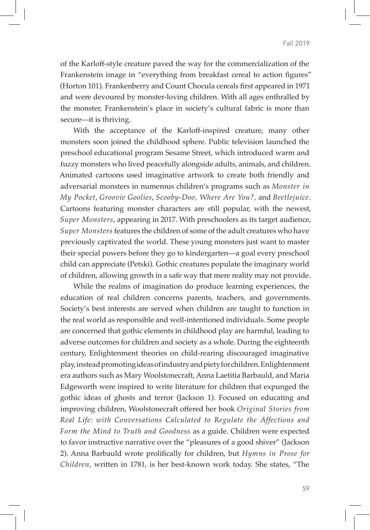of the Karloff-style creature paved the way for the commercialization of the Frankenstein image in "everything from breakfast cereal to action figures" (Horton 101). Frankenberry and Count Chocula cereals first appeared in 1971 and were devoured by monster-loving children. With all ages enthralled by the monster, Frankenstein's place in society's cultural fabric is more than secure—it is thriving.

With the acceptance of the Karloff-inspired creature, many other monsters soon joined the childhood sphere. Public television launched the preschool educational program Sesame Street, which introduced warm and fuzzy monsters who lived peacefully alongside adults, animals, and children. Animated cartoons used imaginative artwork to create both friendly and adversarial monsters in numerous children's programs such as *Monster in My Pocket*, *Groovie Goolies*, *Scooby-Doo, Where Are You?,* and *Beetlejuice*. Cartoons featuring monster characters are still popular, with the newest, *Super Monsters*, appearing in 2017. With preschoolers as its target audience, *Super Monsters* features the children of some of the adult creatures who have previously captivated the world. These young monsters just want to master their special powers before they go to kindergarten—a goal every preschool child can appreciate (Petski). Gothic creatures populate the imaginary world of children, allowing growth in a safe way that mere reality may not provide.

While the realms of imagination do produce learning experiences, the education of real children concerns parents, teachers, and governments. Society's best interests are served when children are taught to function in the real world as responsible and well-intentioned individuals. Some people are concerned that gothic elements in childhood play are harmful, leading to adverse outcomes for children and society as a whole. During the eighteenth century, Enlightenment theories on child-rearing discouraged imaginative play, instead promoting ideas of industry and piety for children. Enlightenment era authors such as Mary Woolstonecraft, Anna Laetitia Barbauld, and Maria Edgeworth were inspired to write literature for children that expunged the gothic ideas of ghosts and terror (Jackson 1). Focused on educating and improving children, Woolstonecraft offered her book *Original Stories from Real Life: with Conversations Calculated to Regulate the Affections and Form the Mind to Truth and Goodness* as a guide. Children were expected to favor instructive narrative over the "pleasures of a good shiver" (Jackson 2). Anna Barbauld wrote prolifically for children, but *Hymns in Prose for Children*, written in 1781, is her best-known work today. She states, "The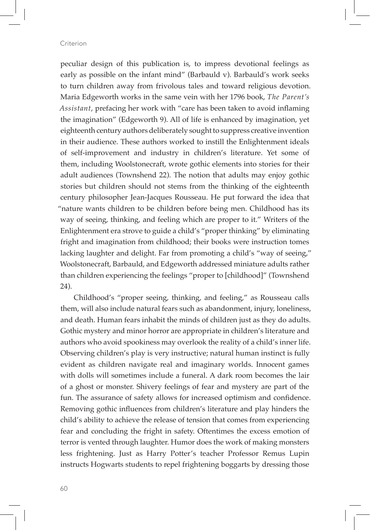peculiar design of this publication is, to impress devotional feelings as early as possible on the infant mind" (Barbauld v). Barbauld's work seeks to turn children away from frivolous tales and toward religious devotion. Maria Edgeworth works in the same vein with her 1796 book, *The Parent's Assistant*, prefacing her work with "care has been taken to avoid inflaming the imagination" (Edgeworth 9). All of life is enhanced by imagination, yet eighteenth century authors deliberately sought to suppress creative invention in their audience. These authors worked to instill the Enlightenment ideals of self-improvement and industry in children's literature. Yet some of them, including Woolstonecraft, wrote gothic elements into stories for their adult audiences (Townshend 22). The notion that adults may enjoy gothic stories but children should not stems from the thinking of the eighteenth century philosopher Jean-Jacques Rousseau. He put forward the idea that "nature wants children to be children before being men. Childhood has its way of seeing, thinking, and feeling which are proper to it." Writers of the Enlightenment era strove to guide a child's "proper thinking" by eliminating fright and imagination from childhood; their books were instruction tomes lacking laughter and delight. Far from promoting a child's "way of seeing," Woolstonecraft, Barbauld, and Edgeworth addressed miniature adults rather than children experiencing the feelings "proper to [childhood]" (Townshend 24).

Childhood's "proper seeing, thinking, and feeling," as Rousseau calls them, will also include natural fears such as abandonment, injury, loneliness, and death. Human fears inhabit the minds of children just as they do adults. Gothic mystery and minor horror are appropriate in children's literature and authors who avoid spookiness may overlook the reality of a child's inner life. Observing children's play is very instructive; natural human instinct is fully evident as children navigate real and imaginary worlds. Innocent games with dolls will sometimes include a funeral. A dark room becomes the lair of a ghost or monster. Shivery feelings of fear and mystery are part of the fun. The assurance of safety allows for increased optimism and confidence. Removing gothic influences from children's literature and play hinders the child's ability to achieve the release of tension that comes from experiencing fear and concluding the fright in safety. Oftentimes the excess emotion of terror is vented through laughter. Humor does the work of making monsters less frightening. Just as Harry Potter's teacher Professor Remus Lupin instructs Hogwarts students to repel frightening boggarts by dressing those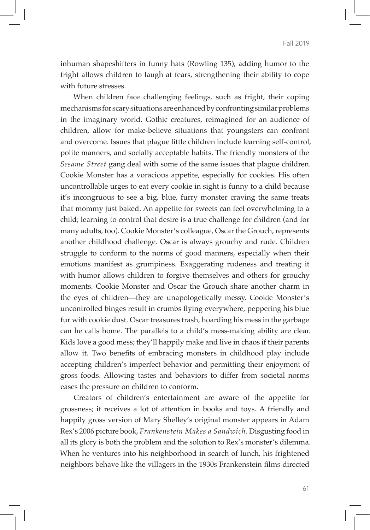inhuman shapeshifters in funny hats (Rowling 135), adding humor to the fright allows children to laugh at fears, strengthening their ability to cope with future stresses.

When children face challenging feelings, such as fright, their coping mechanisms for scary situations are enhanced by confronting similar problems in the imaginary world. Gothic creatures, reimagined for an audience of children, allow for make-believe situations that youngsters can confront and overcome. Issues that plague little children include learning self-control, polite manners, and socially acceptable habits. The friendly monsters of the *Sesame Street* gang deal with some of the same issues that plague children. Cookie Monster has a voracious appetite, especially for cookies. His often uncontrollable urges to eat every cookie in sight is funny to a child because it's incongruous to see a big, blue, furry monster craving the same treats that mommy just baked. An appetite for sweets can feel overwhelming to a child; learning to control that desire is a true challenge for children (and for many adults, too). Cookie Monster's colleague, Oscar the Grouch, represents another childhood challenge. Oscar is always grouchy and rude. Children struggle to conform to the norms of good manners, especially when their emotions manifest as grumpiness. Exaggerating rudeness and treating it with humor allows children to forgive themselves and others for grouchy moments. Cookie Monster and Oscar the Grouch share another charm in the eyes of children—they are unapologetically messy. Cookie Monster's uncontrolled binges result in crumbs flying everywhere, peppering his blue fur with cookie dust. Oscar treasures trash, hoarding his mess in the garbage can he calls home. The parallels to a child's mess-making ability are clear. Kids love a good mess; they'll happily make and live in chaos if their parents allow it. Two benefits of embracing monsters in childhood play include accepting children's imperfect behavior and permitting their enjoyment of gross foods. Allowing tastes and behaviors to differ from societal norms eases the pressure on children to conform.

Creators of children's entertainment are aware of the appetite for grossness; it receives a lot of attention in books and toys. A friendly and happily gross version of Mary Shelley's original monster appears in Adam Rex's 2006 picture book, *Frankenstein Makes a Sandwich*. Disgusting food in all its glory is both the problem and the solution to Rex's monster's dilemma. When he ventures into his neighborhood in search of lunch, his frightened neighbors behave like the villagers in the 1930s Frankenstein films directed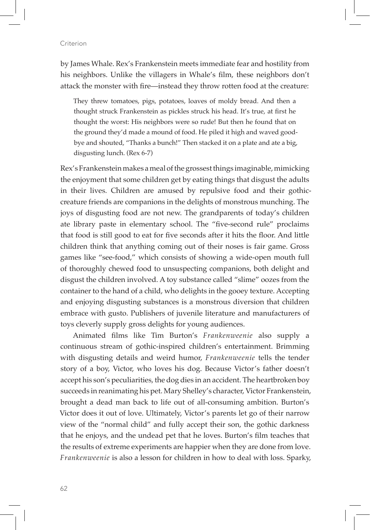by James Whale. Rex's Frankenstein meets immediate fear and hostility from his neighbors. Unlike the villagers in Whale's film, these neighbors don't attack the monster with fire—instead they throw rotten food at the creature:

They threw tomatoes, pigs, potatoes, loaves of moldy bread. And then a thought struck Frankenstein as pickles struck his head. It's true, at first he thought the worst: His neighbors were so rude! But then he found that on the ground they'd made a mound of food. He piled it high and waved goodbye and shouted, "Thanks a bunch!" Then stacked it on a plate and ate a big, disgusting lunch. (Rex 6-7)

Rex's Frankenstein makes a meal of the grossest things imaginable, mimicking the enjoyment that some children get by eating things that disgust the adults in their lives. Children are amused by repulsive food and their gothiccreature friends are companions in the delights of monstrous munching. The joys of disgusting food are not new. The grandparents of today's children ate library paste in elementary school. The "five-second rule" proclaims that food is still good to eat for five seconds after it hits the floor. And little children think that anything coming out of their noses is fair game. Gross games like "see-food," which consists of showing a wide-open mouth full of thoroughly chewed food to unsuspecting companions, both delight and disgust the children involved. A toy substance called "slime" oozes from the container to the hand of a child, who delights in the gooey texture. Accepting and enjoying disgusting substances is a monstrous diversion that children embrace with gusto. Publishers of juvenile literature and manufacturers of toys cleverly supply gross delights for young audiences.

Animated films like Tim Burton's *Frankenweenie* also supply a continuous stream of gothic-inspired children's entertainment. Brimming with disgusting details and weird humor, *Frankenweenie* tells the tender story of a boy, Victor, who loves his dog. Because Victor's father doesn't accept his son's peculiarities, the dog dies in an accident. The heartbroken boy succeeds in reanimating his pet. Mary Shelley's character, Victor Frankenstein, brought a dead man back to life out of all-consuming ambition. Burton's Victor does it out of love. Ultimately, Victor's parents let go of their narrow view of the "normal child" and fully accept their son, the gothic darkness that he enjoys, and the undead pet that he loves. Burton's film teaches that the results of extreme experiments are happier when they are done from love. *Frankenweenie* is also a lesson for children in how to deal with loss. Sparky,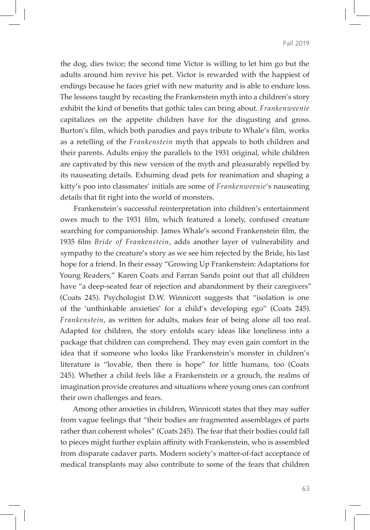the dog, dies twice; the second time Victor is willing to let him go but the adults around him revive his pet. Victor is rewarded with the happiest of endings because he faces grief with new maturity and is able to endure loss. The lessons taught by recasting the Frankenstein myth into a children's story exhibit the kind of benefits that gothic tales can bring about. *Frankenweenie*  capitalizes on the appetite children have for the disgusting and gross. Burton's film, which both parodies and pays tribute to Whale's film, works as a retelling of the *Frankenstein* myth that appeals to both children and their parents. Adults enjoy the parallels to the 1931 original, while children are captivated by this new version of the myth and pleasurably repelled by its nauseating details. Exhuming dead pets for reanimation and shaping a kitty's poo into classmates' initials are some of *Frankenweenie*'s nauseating details that fit right into the world of monsters.

Frankenstein's successful reinterpretation into children's entertainment owes much to the 1931 film, which featured a lonely, confused creature searching for companionship. James Whale's second Frankenstein film, the 1935 film *Bride of Frankenstein*, adds another layer of vulnerability and sympathy to the creature's story as we see him rejected by the Bride, his last hope for a friend. In their essay "Growing Up Frankenstein: Adaptations for Young Readers," Karen Coats and Farran Sands point out that all children have "a deep-seated fear of rejection and abandonment by their caregivers" (Coats 245). Psychologist D.W. Winnicott suggests that "isolation is one of the 'unthinkable anxieties' for a child's developing ego" (Coats 245). *Frankenstein*, as written for adults, makes fear of being alone all too real. Adapted for children, the story enfolds scary ideas like loneliness into a package that children can comprehend. They may even gain comfort in the idea that if someone who looks like Frankenstein's monster in children's literature is "lovable, then there is hope" for little humans, too (Coats 245). Whether a child feels like a Frankenstein or a grouch, the realms of imagination provide creatures and situations where young ones can confront their own challenges and fears.

Among other anxieties in children, Winnicott states that they may suffer from vague feelings that "their bodies are fragmented assemblages of parts rather than coherent wholes" (Coats 245). The fear that their bodies could fall to pieces might further explain affinity with Frankenstein, who is assembled from disparate cadaver parts. Modern society's matter-of-fact acceptance of medical transplants may also contribute to some of the fears that children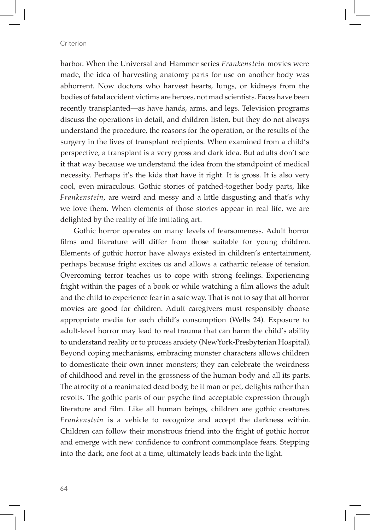harbor. When the Universal and Hammer series *Frankenstein* movies were made, the idea of harvesting anatomy parts for use on another body was abhorrent. Now doctors who harvest hearts, lungs, or kidneys from the bodies of fatal accident victims are heroes, not mad scientists. Faces have been recently transplanted—as have hands, arms, and legs. Television programs discuss the operations in detail, and children listen, but they do not always understand the procedure, the reasons for the operation, or the results of the surgery in the lives of transplant recipients. When examined from a child's perspective, a transplant is a very gross and dark idea. But adults don't see it that way because we understand the idea from the standpoint of medical necessity. Perhaps it's the kids that have it right. It is gross. It is also very cool, even miraculous. Gothic stories of patched-together body parts, like *Frankenstein*, are weird and messy and a little disgusting and that's why we love them. When elements of those stories appear in real life, we are delighted by the reality of life imitating art.

Gothic horror operates on many levels of fearsomeness. Adult horror films and literature will differ from those suitable for young children. Elements of gothic horror have always existed in children's entertainment, perhaps because fright excites us and allows a cathartic release of tension. Overcoming terror teaches us to cope with strong feelings. Experiencing fright within the pages of a book or while watching a film allows the adult and the child to experience fear in a safe way. That is not to say that all horror movies are good for children. Adult caregivers must responsibly choose appropriate media for each child's consumption (Wells 24). Exposure to adult-level horror may lead to real trauma that can harm the child's ability to understand reality or to process anxiety (NewYork-Presbyterian Hospital). Beyond coping mechanisms, embracing monster characters allows children to domesticate their own inner monsters; they can celebrate the weirdness of childhood and revel in the grossness of the human body and all its parts. The atrocity of a reanimated dead body, be it man or pet, delights rather than revolts. The gothic parts of our psyche find acceptable expression through literature and film. Like all human beings, children are gothic creatures. *Frankenstein* is a vehicle to recognize and accept the darkness within. Children can follow their monstrous friend into the fright of gothic horror and emerge with new confidence to confront commonplace fears. Stepping into the dark, one foot at a time, ultimately leads back into the light.